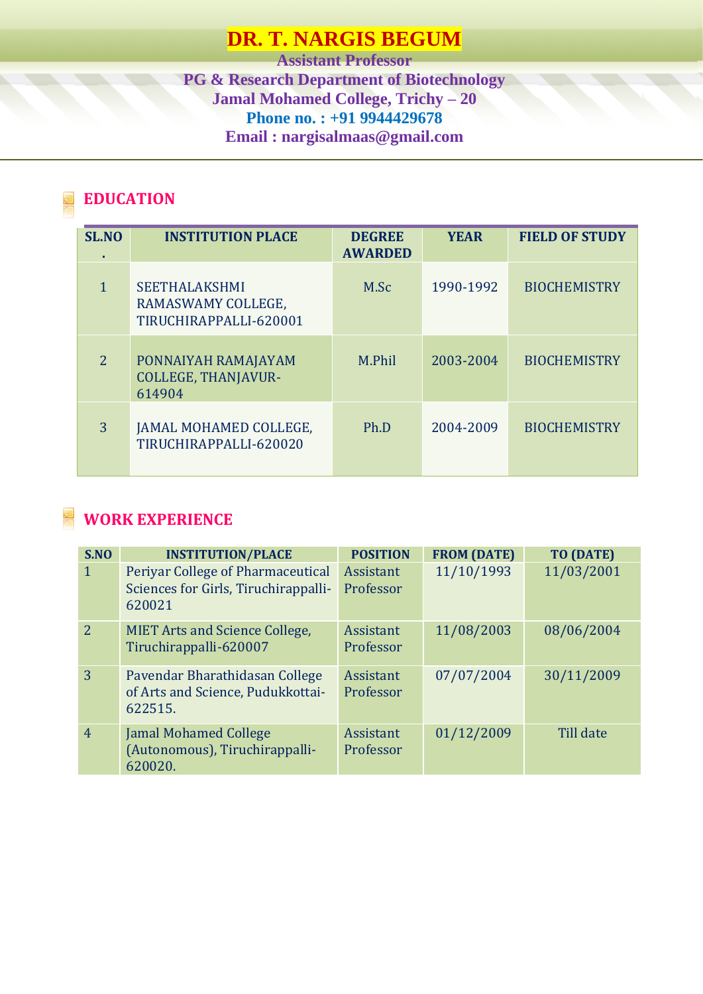# **DR. T. NARGIS BEGUM**

**Assistant Professor PG & Research Department of Biotechnology Jamal Mohamed College, Trichy – 20 Phone no. : +91 9944429678 Email : nargisalmaas@gmail.com**

## **EDUCATION**

| SL.NO<br>٠     | <b>INSTITUTION PLACE</b>                                             | <b>DEGREE</b><br><b>AWARDED</b> | <b>YEAR</b> | <b>FIELD OF STUDY</b> |
|----------------|----------------------------------------------------------------------|---------------------------------|-------------|-----------------------|
| 1              | <b>SEETHALAKSHMI</b><br>RAMASWAMY COLLEGE,<br>TIRUCHIRAPPALLI-620001 | M.Sc                            | 1990-1992   | <b>BIOCHEMISTRY</b>   |
| $\overline{2}$ | PONNAIYAH RAMAJAYAM<br><b>COLLEGE, THANJAVUR-</b><br>614904          | M.Phil                          | 2003-2004   | <b>BIOCHEMISTRY</b>   |
| 3              | JAMAL MOHAMED COLLEGE,<br>TIRUCHIRAPPALLI-620020                     | Ph.D                            | 2004-2009   | <b>BIOCHEMISTRY</b>   |

## **WORK EXPERIENCE**

| S.NO           | <b>INSTITUTION/PLACE</b>                                                            | <b>POSITION</b>        | <b>FROM (DATE)</b> | <b>TO (DATE)</b> |
|----------------|-------------------------------------------------------------------------------------|------------------------|--------------------|------------------|
| $\mathbf{1}$   | Periyar College of Pharmaceutical<br>Sciences for Girls, Tiruchirappalli-<br>620021 | Assistant<br>Professor | 11/10/1993         | 11/03/2001       |
| 2              | <b>MIET Arts and Science College,</b><br>Tiruchirappalli-620007                     | Assistant<br>Professor | 11/08/2003         | 08/06/2004       |
| $\overline{3}$ | Pavendar Bharathidasan College<br>of Arts and Science, Pudukkottai-<br>622515.      | Assistant<br>Professor | 07/07/2004         | 30/11/2009       |
| $\overline{4}$ | <b>Jamal Mohamed College</b><br>(Autonomous), Tiruchirappalli-<br>620020.           | Assistant<br>Professor | 01/12/2009         | Till date        |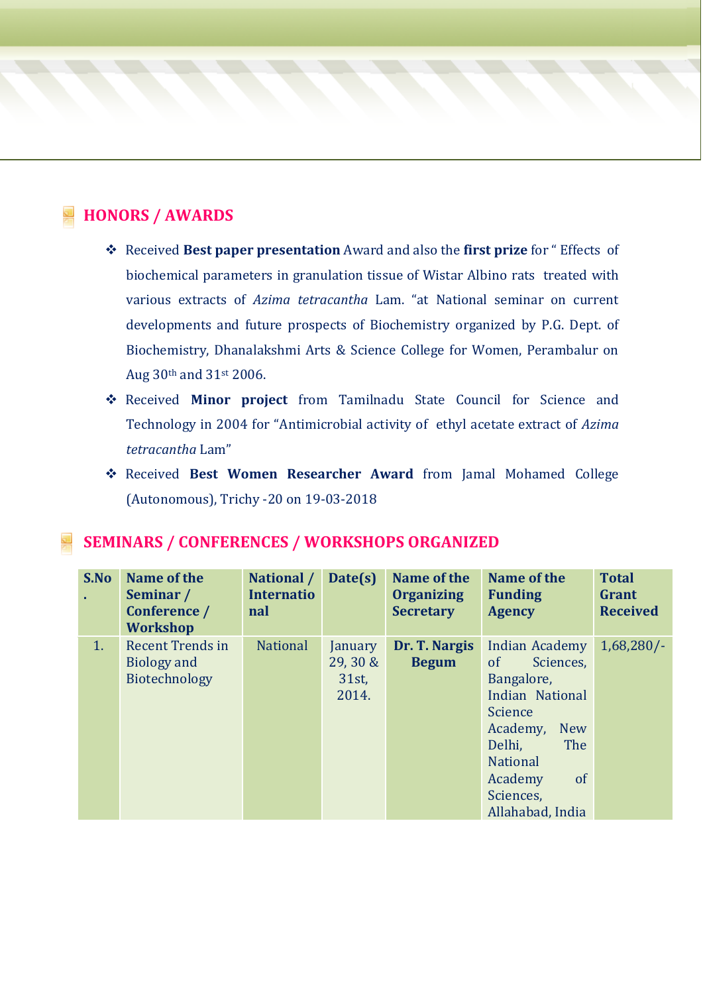## **HONORS / AWARDS**

- ❖ Received **Best paper presentation** Award and also the **first prize** for " Effects of biochemical parameters in granulation tissue of Wistar Albino rats treated with various extracts of *Azima tetracantha* Lam. "at National seminar on current developments and future prospects of Biochemistry organized by P.G. Dept. of Biochemistry, Dhanalakshmi Arts & Science College for Women, Perambalur on Aug 30th and 31st 2006.
- ❖ Received **Minor project** from Tamilnadu State Council for Science and Technology in 2004 for "Antimicrobial activity of ethyl acetate extract of *Azima tetracantha* Lam"
- ❖ Received **Best Women Researcher Award** from Jamal Mohamed College (Autonomous), Trichy -20 on 19-03-2018

### **SEMINARS / CONFERENCES / WORKSHOPS ORGANIZED**

| S.No           | Name of the<br>Seminar /<br>Conference /<br><b>Workshop</b>    | National /<br><b>Internatio</b><br>nal | Date(s)                                  | Name of the<br><b>Organizing</b><br><b>Secretary</b> | Name of the<br><b>Funding</b><br><b>Agency</b>                                                                                                                                                                      | <b>Total</b><br>Grant<br><b>Received</b> |
|----------------|----------------------------------------------------------------|----------------------------------------|------------------------------------------|------------------------------------------------------|---------------------------------------------------------------------------------------------------------------------------------------------------------------------------------------------------------------------|------------------------------------------|
| 1 <sub>1</sub> | <b>Recent Trends in</b><br><b>Biology and</b><br>Biotechnology | <b>National</b>                        | January<br>29, 30 &<br>$31st$ ,<br>2014. | Dr. T. Nargis<br><b>Begum</b>                        | Indian Academy<br><sub>of</sub><br>Sciences,<br>Bangalore,<br>Indian National<br>Science<br>Academy,<br><b>New</b><br>The<br>Delhi,<br><b>National</b><br><sub>of</sub><br>Academy<br>Sciences,<br>Allahabad, India | $1,68,280/-$                             |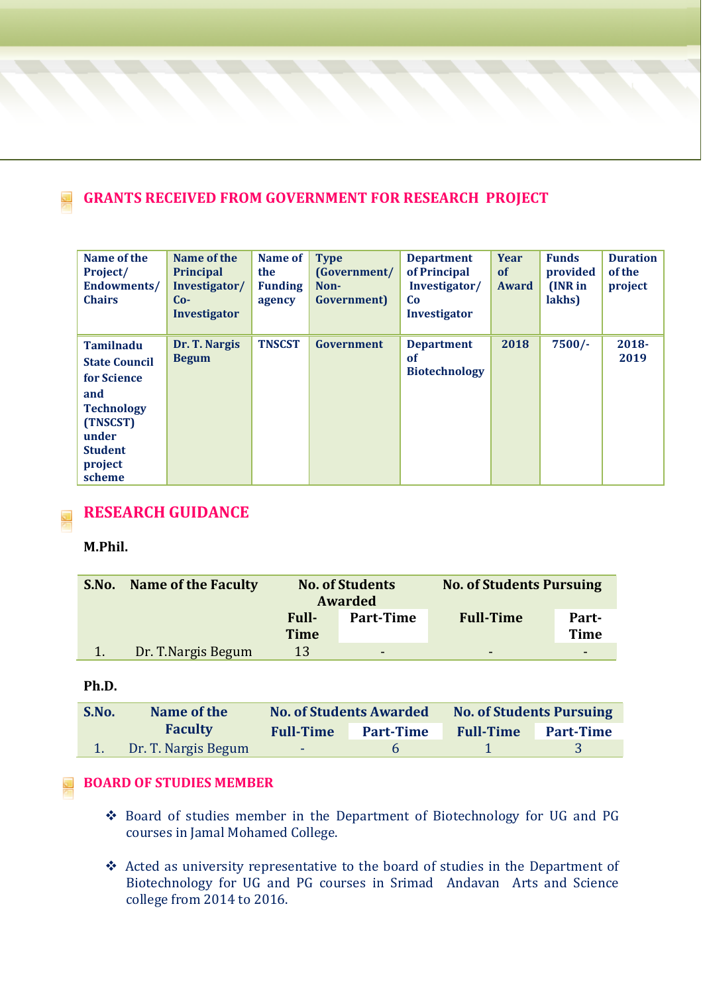### **GRANTS RECEIVED FROM GOVERNMENT FOR RESEARCH PROJECT**

| Name of the<br>Project/<br><b>Endowments/</b><br><b>Chairs</b>                                                                                  | Name of the<br><b>Principal</b><br>Investigator/<br>$Co-$<br><b>Investigator</b> | Name of<br>the<br><b>Funding</b><br>agency | <b>Type</b><br>(Government/<br>Non-<br>Government) | <b>Department</b><br>of Principal<br>Investigator/<br>Co<br><b>Investigator</b> | Year<br><b>of</b><br>Award | <b>Funds</b><br>provided<br>(INR in<br>lakhs) | <b>Duration</b><br>of the<br>project |
|-------------------------------------------------------------------------------------------------------------------------------------------------|----------------------------------------------------------------------------------|--------------------------------------------|----------------------------------------------------|---------------------------------------------------------------------------------|----------------------------|-----------------------------------------------|--------------------------------------|
| <b>Tamilnadu</b><br><b>State Council</b><br>for Science<br>and<br><b>Technology</b><br>(TNSCST)<br>under<br><b>Student</b><br>project<br>scheme | Dr. T. Nargis<br><b>Begum</b>                                                    | <b>TNSCST</b>                              | Government                                         | <b>Department</b><br>of<br><b>Biotechnology</b>                                 | 2018                       | $7500/-$                                      | $2018 -$<br>2019                     |

### **RESEARCH GUIDANCE**

**M.Phil.**

| S.No. | <b>Name of the Faculty</b> | <b>No. of Students</b><br>Awarded |                  | <b>No. of Students Pursuing</b> |                          |
|-------|----------------------------|-----------------------------------|------------------|---------------------------------|--------------------------|
|       |                            | <b>Full-</b>                      | <b>Part-Time</b> | <b>Full-Time</b>                | Part-                    |
|       |                            | <b>Time</b>                       |                  |                                 | <b>Time</b>              |
|       | Dr. T.Nargis Begum         | 13                                | -                | -                               | $\overline{\phantom{a}}$ |

**Ph.D.**

| S.No. | Name of the         |                  | <b>No. of Students Awarded</b> | <b>No. of Students Pursuing</b> |                  |
|-------|---------------------|------------------|--------------------------------|---------------------------------|------------------|
|       | <b>Faculty</b>      | <b>Full-Time</b> | <b>Part-Time</b>               | <b>Full-Time</b>                | <b>Part-Time</b> |
|       | Dr. T. Nargis Begum | <b>Service</b>   | h                              |                                 |                  |

#### **BOARD OF STUDIES MEMBER**

- ❖ Board of studies member in the Department of Biotechnology for UG and PG courses in Jamal Mohamed College.
- ❖ Acted as university representative to the board of studies in the Department of Biotechnology for UG and PG courses in Srimad Andavan Arts and Science college from 2014 to 2016.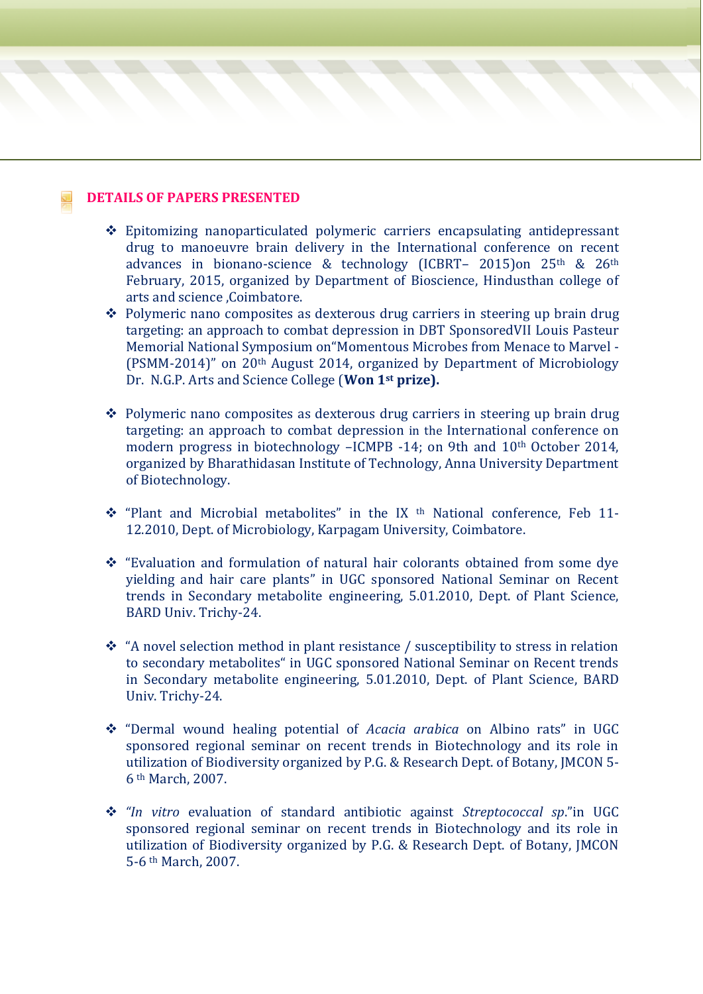#### **DETAILS OF PAPERS PRESENTED**

- ❖ Epitomizing nanoparticulated polymeric carriers encapsulating antidepressant drug to manoeuvre brain delivery in the International conference on recent advances in bionano-science & technology (ICBRT– 2015)on 25th & 26th February, 2015, organized by Department of Bioscience, Hindusthan college of arts and science ,Coimbatore.
- ❖ Polymeric nano composites as dexterous drug carriers in steering up brain drug targeting: an approach to combat depression in DBT SponsoredVII Louis Pasteur Memorial National Symposium on"Momentous Microbes from Menace to Marvel - (PSMM-2014)" on 20th August 2014, organized by Department of Microbiology Dr. N.G.P. Arts and Science College (**Won 1st prize).**
- ❖ Polymeric nano composites as dexterous drug carriers in steering up brain drug targeting: an approach to combat depression in the International conference on modern progress in biotechnology –ICMPB -14; on 9th and 10<sup>th</sup> October 2014, organized by Bharathidasan Institute of Technology, Anna University Department of Biotechnology.
- ◆ "Plant and Microbial metabolites" in the IX <sup>th</sup> National conference, Feb 11-12.2010, Dept. of Microbiology, Karpagam University, Coimbatore.
- ❖ "Evaluation and formulation of natural hair colorants obtained from some dye yielding and hair care plants" in UGC sponsored National Seminar on Recent trends in Secondary metabolite engineering, 5.01.2010, Dept. of Plant Science, BARD Univ. Trichy-24.
- ❖ "A novel selection method in plant resistance / susceptibility to stress in relation to secondary metabolites" in UGC sponsored National Seminar on Recent trends in Secondary metabolite engineering, 5.01.2010, Dept. of Plant Science, BARD Univ. Trichy-24.
- ❖ "Dermal wound healing potential of *Acacia arabica* on Albino rats" in UGC sponsored regional seminar on recent trends in Biotechnology and its role in utilization of Biodiversity organized by P.G. & Research Dept. of Botany, JMCON 5- 6 th March, 2007.
- ❖ *"In vitro* evaluation of standard antibiotic against *Streptococcal sp*."in UGC sponsored regional seminar on recent trends in Biotechnology and its role in utilization of Biodiversity organized by P.G. & Research Dept. of Botany, JMCON 5-6 th March, 2007.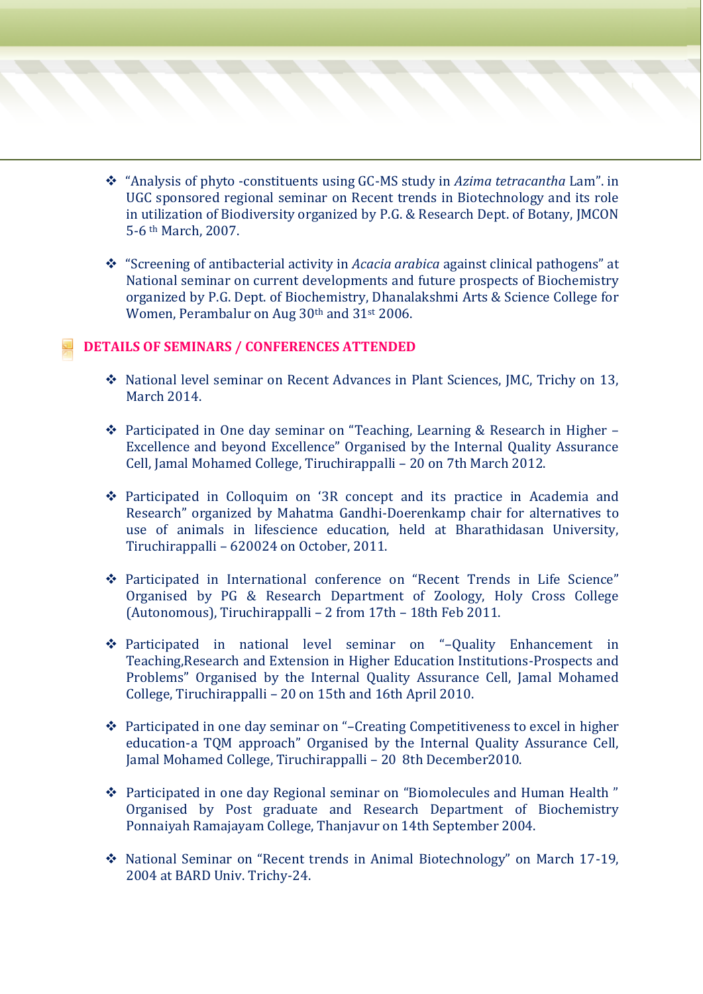- ❖ "Analysis of phyto -constituents using GC-MS study in *Azima tetracantha* Lam". in UGC sponsored regional seminar on Recent trends in Biotechnology and its role in utilization of Biodiversity organized by P.G. & Research Dept. of Botany, JMCON 5-6 th March, 2007.
- ❖ "Screening of antibacterial activity in *Acacia arabica* against clinical pathogens" at National seminar on current developments and future prospects of Biochemistry organized by P.G. Dept. of Biochemistry, Dhanalakshmi Arts & Science College for Women, Perambalur on Aug 30th and 31st 2006.

#### **DETAILS OF SEMINARS / CONFERENCES ATTENDED**

- ❖ National level seminar on Recent Advances in Plant Sciences, JMC, Trichy on 13, March 2014.
- ❖ Participated in One day seminar on "Teaching, Learning & Research in Higher Excellence and beyond Excellence" Organised by the Internal Quality Assurance Cell, Jamal Mohamed College, Tiruchirappalli – 20 on 7th March 2012.
- ❖ Participated in Colloquim on '3R concept and its practice in Academia and Research" organized by Mahatma Gandhi-Doerenkamp chair for alternatives to use of animals in lifescience education, held at Bharathidasan University, Tiruchirappalli – 620024 on October, 2011.
- ❖ Participated in International conference on "Recent Trends in Life Science" Organised by PG & Research Department of Zoology, Holy Cross College (Autonomous), Tiruchirappalli – 2 from 17th – 18th Feb 2011.
- ❖ Participated in national level seminar on "–Quality Enhancement in Teaching,Research and Extension in Higher Education Institutions-Prospects and Problems" Organised by the Internal Quality Assurance Cell, Jamal Mohamed College, Tiruchirappalli – 20 on 15th and 16th April 2010.
- ❖ Participated in one day seminar on "–Creating Competitiveness to excel in higher education-a TQM approach" Organised by the Internal Quality Assurance Cell, Jamal Mohamed College, Tiruchirappalli – 20 8th December2010.
- ❖ Participated in one day Regional seminar on "Biomolecules and Human Health " Organised by Post graduate and Research Department of Biochemistry Ponnaiyah Ramajayam College, Thanjavur on 14th September 2004.
- ❖ National Seminar on "Recent trends in Animal Biotechnology" on March 17-19, 2004 at BARD Univ. Trichy-24.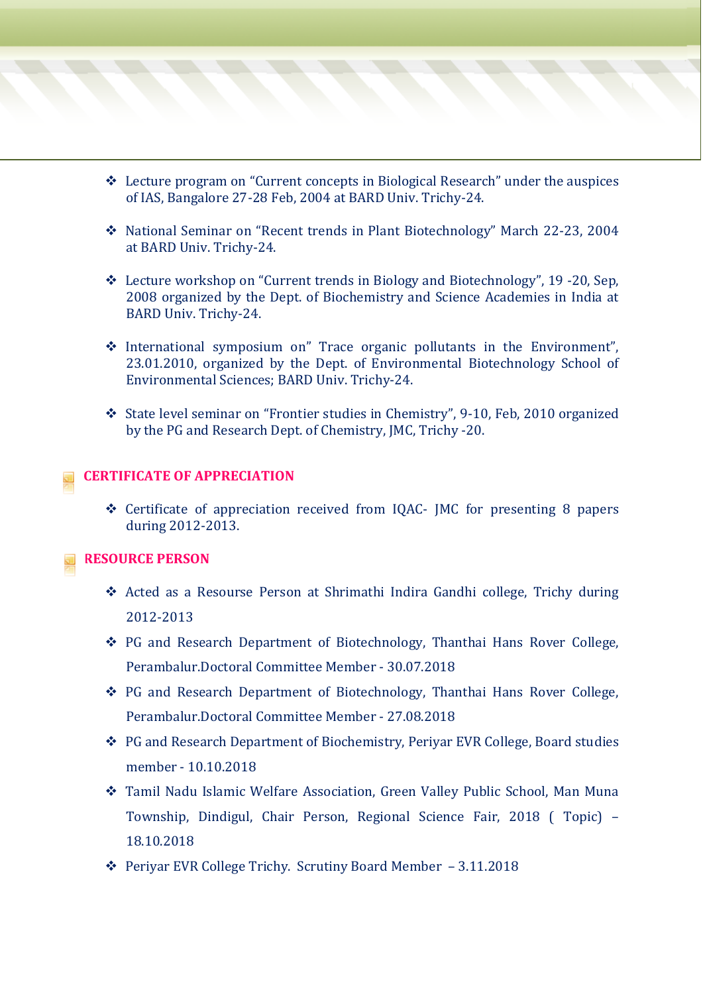- ❖ Lecture program on "Current concepts in Biological Research" under the auspices of IAS, Bangalore 27-28 Feb, 2004 at BARD Univ. Trichy-24.
- ❖ National Seminar on "Recent trends in Plant Biotechnology" March 22-23, 2004 at BARD Univ. Trichy-24.
- ❖ Lecture workshop on "Current trends in Biology and Biotechnology", 19 -20, Sep, 2008 organized by the Dept. of Biochemistry and Science Academies in India at BARD Univ. Trichy-24.
- ❖ International symposium on" Trace organic pollutants in the Environment", 23.01.2010, organized by the Dept. of Environmental Biotechnology School of Environmental Sciences; BARD Univ. Trichy-24.
- ❖ State level seminar on "Frontier studies in Chemistry", 9-10, Feb, 2010 organized by the PG and Research Dept. of Chemistry, JMC, Trichy -20.

#### **CERTIFICATE OF APPRECIATION**

❖ Certificate of appreciation received from IQAC- JMC for presenting 8 papers during 2012-2013.

#### **RESOURCE PERSON**

- ❖ Acted as a Resourse Person at Shrimathi Indira Gandhi college, Trichy during 2012-2013
- ❖ PG and Research Department of Biotechnology, Thanthai Hans Rover College, Perambalur.Doctoral Committee Member - 30.07.2018
- ❖ PG and Research Department of Biotechnology, Thanthai Hans Rover College, Perambalur.Doctoral Committee Member - 27.08.2018
- ❖ PG and Research Department of Biochemistry, Periyar EVR College, Board studies member - 10.10.2018
- ❖ Tamil Nadu Islamic Welfare Association, Green Valley Public School, Man Muna Township, Dindigul, Chair Person, Regional Science Fair, 2018 ( Topic) – 18.10.2018
- ❖ Periyar EVR College Trichy. Scrutiny Board Member 3.11.2018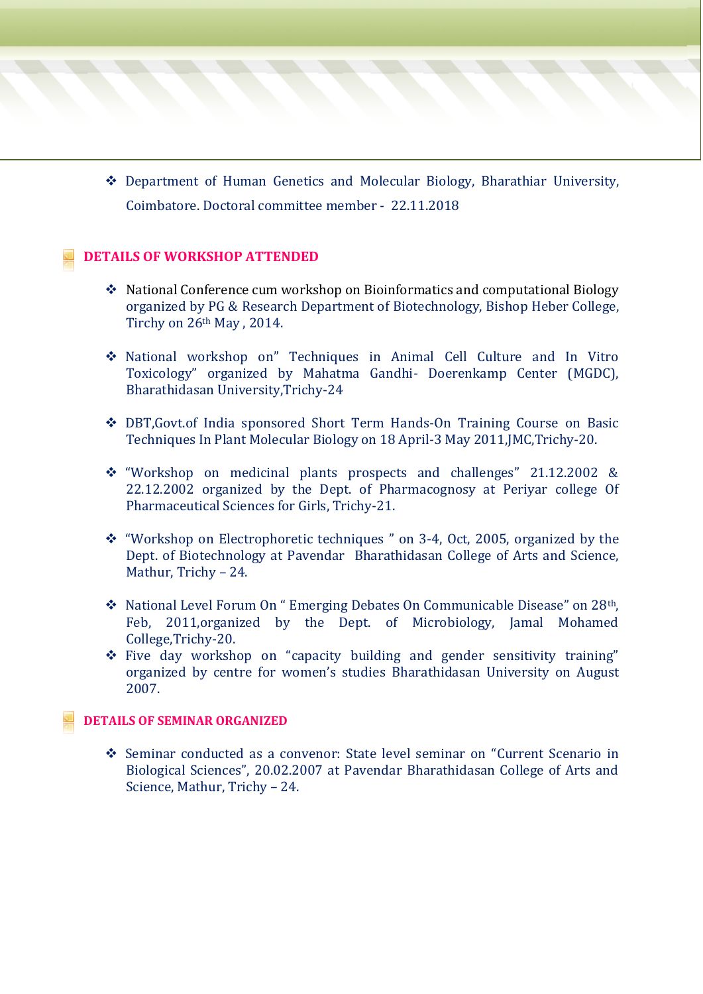❖ Department of Human Genetics and Molecular Biology, Bharathiar University, Coimbatore. Doctoral committee member - 22.11.2018

#### **DETAILS OF WORKSHOP ATTENDED**

- ❖ National Conference cum workshop on Bioinformatics and computational Biology organized by PG & Research Department of Biotechnology, Bishop Heber College, Tirchy on 26th May , 2014.
- ❖ National workshop on" Techniques in Animal Cell Culture and In Vitro Toxicology" organized by Mahatma Gandhi- Doerenkamp Center (MGDC), Bharathidasan University,Trichy-24
- ❖ DBT,Govt.of India sponsored Short Term Hands-On Training Course on Basic Techniques In Plant Molecular Biology on 18 April-3 May 2011,JMC,Trichy-20.
- ❖ "Workshop on medicinal plants prospects and challenges" 21.12.2002 & 22.12.2002 organized by the Dept. of Pharmacognosy at Periyar college Of Pharmaceutical Sciences for Girls, Trichy-21.
- ❖ "Workshop on Electrophoretic techniques " on 3-4, Oct, 2005, organized by the Dept. of Biotechnology at Pavendar Bharathidasan College of Arts and Science, Mathur, Trichy – 24.
- ❖ National Level Forum On " Emerging Debates On Communicable Disease" on 28th, Feb, 2011,organized by the Dept. of Microbiology, Jamal Mohamed College,Trichy-20.
- ❖ Five day workshop on "capacity building and gender sensitivity training" organized by centre for women's studies Bharathidasan University on August 2007.

#### **DETAILS OF SEMINAR ORGANIZED**

❖ Seminar conducted as a convenor: State level seminar on "Current Scenario in Biological Sciences", 20.02.2007 at Pavendar Bharathidasan College of Arts and Science, Mathur, Trichy – 24.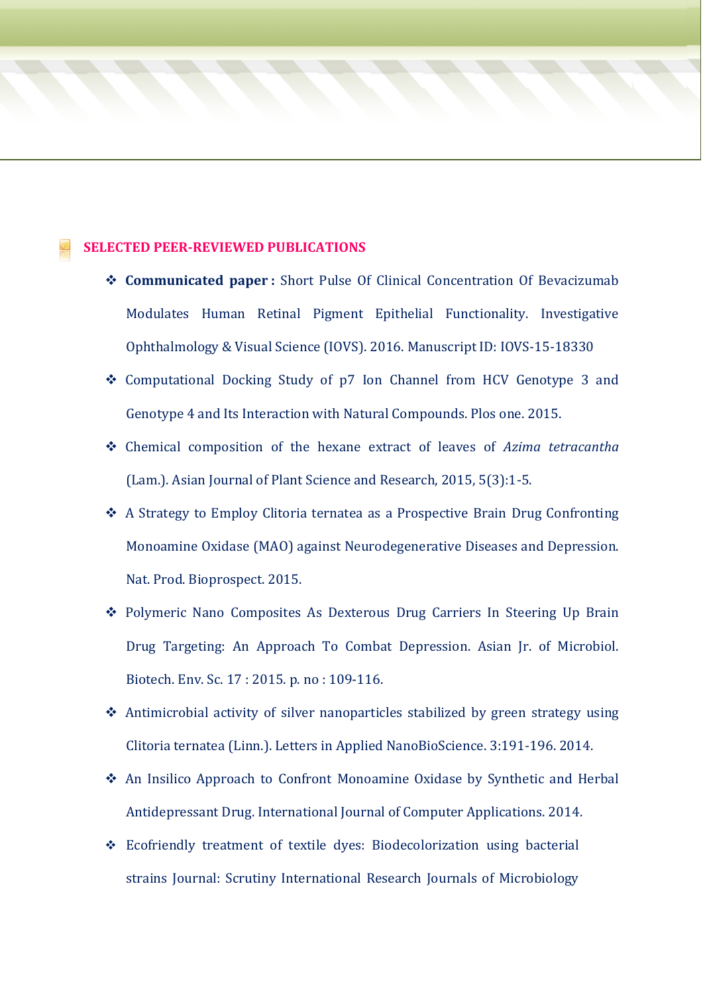#### **SELECTED PEER-REVIEWED PUBLICATIONS**

- ❖ **Communicated paper :** Short Pulse Of Clinical Concentration Of Bevacizumab Modulates Human Retinal Pigment Epithelial Functionality. Investigative Ophthalmology & Visual Science (IOVS). 2016. Manuscript ID: IOVS-15-18330
- ❖ Computational Docking Study of p7 Ion Channel from HCV Genotype 3 and Genotype 4 and Its Interaction with Natural Compounds. Plos one. 2015.
- ❖ Chemical composition of the hexane extract of leaves of *Azima tetracantha* (Lam.). Asian Journal of Plant Science and Research, 2015, 5(3):1-5.
- ❖ A Strategy to Employ Clitoria ternatea as a Prospective Brain Drug Confronting Monoamine Oxidase (MAO) against Neurodegenerative Diseases and Depression. Nat. Prod. Bioprospect. 2015.
- ❖ Polymeric Nano Composites As Dexterous Drug Carriers In Steering Up Brain Drug Targeting: An Approach To Combat Depression. Asian Jr. of Microbiol. Biotech. Env. Sc. 17 : 2015. p. no : 109-116.
- ❖ Antimicrobial activity of silver nanoparticles stabilized by green strategy using Clitoria ternatea (Linn.). Letters in Applied NanoBioScience. 3:191-196. 2014.
- ❖ An Insilico Approach to Confront Monoamine Oxidase by Synthetic and Herbal Antidepressant Drug. International Journal of Computer Applications. 2014.
- ❖ Ecofriendly treatment of textile dyes: Biodecolorization using bacterial strains Journal: Scrutiny International Research Journals of Microbiology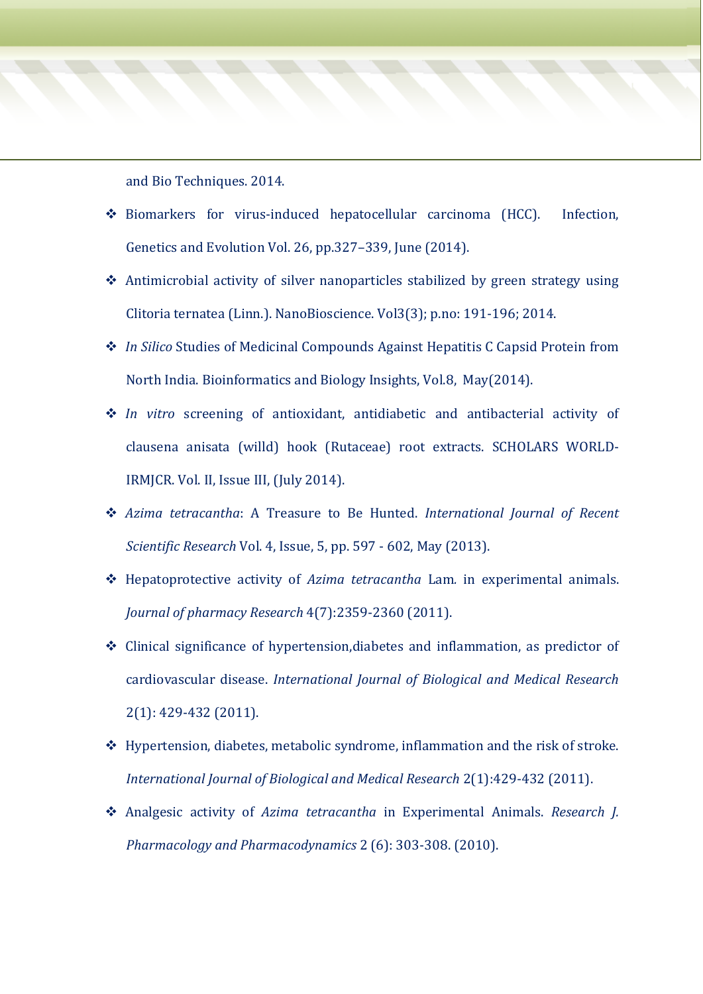and Bio Techniques. 2014.

- ❖ Biomarkers for virus-induced hepatocellular carcinoma (HCC). Infection, Genetics and Evolution Vol. 26, pp.327–339, June (2014).
- ❖ Antimicrobial activity of silver nanoparticles stabilized by green strategy using Clitoria ternatea (Linn.). NanoBioscience. Vol3(3); p.no: 191-196; 2014.
- ❖ *In Silico* Studies of Medicinal Compounds Against Hepatitis C Capsid Protein from North India. Bioinformatics and Biology Insights, Vol.8, May(2014).
- ❖ *In vitro* screening of antioxidant, antidiabetic and antibacterial activity of clausena anisata (willd) hook (Rutaceae) root extracts. SCHOLARS WORLD-IRMJCR. Vol. II, Issue III, (July 2014).
- ❖ *Azima tetracantha*: A Treasure to Be Hunted. *International Journal of Recent Scientific Research* Vol. 4, Issue, 5, pp. 597 - 602, May (2013).
- ❖ Hepatoprotective activity of *Azima tetracantha* Lam*.* in experimental animals. *Journal of pharmacy Research* 4(7):2359-2360 (2011).
- ❖ Clinical significance of hypertension,diabetes and inflammation, as predictor of cardiovascular disease. *International Journal of Biological and Medical Research* 2(1): 429-432 (2011).
- ❖ Hypertension, diabetes, metabolic syndrome, inflammation and the risk of stroke. *International Journal of Biological and Medical Research* 2(1):429-432 (2011).
- ❖ Analgesic activity of *Azima tetracantha* in Experimental Animals. *Research J. Pharmacology and Pharmacodynamics* 2 (6): 303-308. (2010).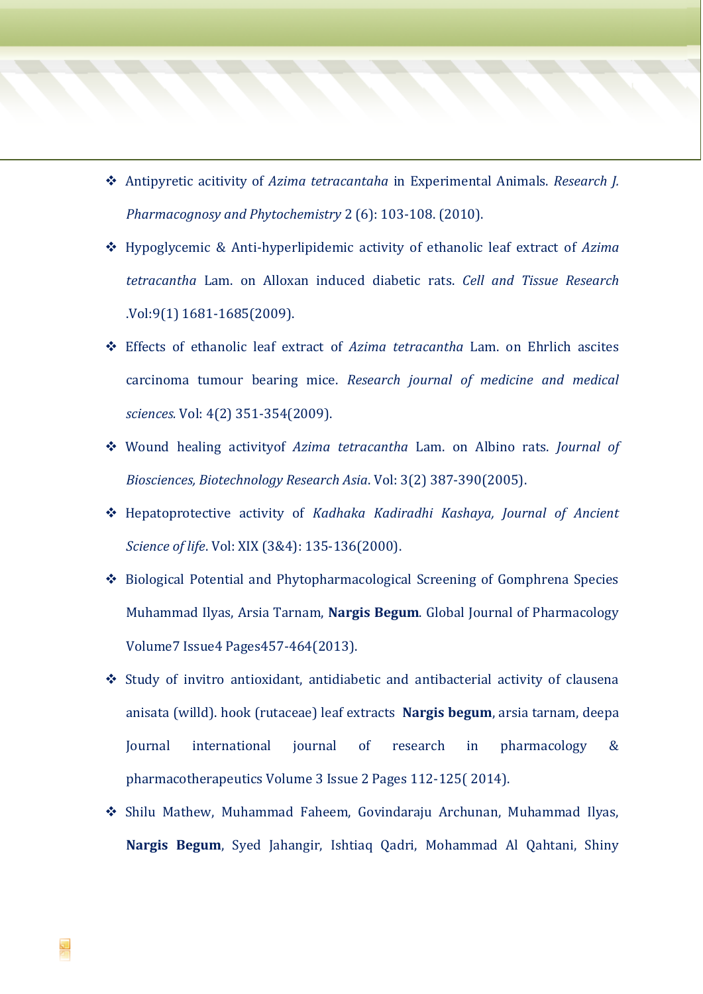- ❖ Antipyretic acitivity of *Azima tetracantaha* in Experimental Animals. *Research J. Pharmacognosy and Phytochemistry* 2 (6): 103-108. (2010).
- ❖ Hypoglycemic & Anti-hyperlipidemic activity of ethanolic leaf extract of *Azima tetracantha* Lam. on Alloxan induced diabetic rats. *Cell and Tissue Research* .Vol:9(1) 1681-1685(2009).
- ❖ Effects of ethanolic leaf extract of *Azima tetracantha* Lam. on Ehrlich ascites carcinoma tumour bearing mice. *Research journal of medicine and medical sciences.* Vol: 4(2) 351-354(2009).
- ❖ Wound healing activityof *Azima tetracantha* Lam. on Albino rats. *Journal of Biosciences, Biotechnology Research Asia*. Vol: 3(2) 387-390(2005).
- ❖ Hepatoprotective activity of *Kadhaka Kadiradhi Kashaya, Journal of Ancient Science of life*. Vol: XIX (3&4): 135-136(2000).
- ❖ [Biological Potential and Phytopharmacological Screening of Gomphrena Species](http://idosi.org/gjp/7%284%2913/13.pdf) Muhammad Ilyas, Arsia Tarnam, **Nargis Begum**. Global Journal of Pharmacology Volume7 Issue4 Pages457-464(2013).
- ❖ Study of invitro antioxidant, antidiabetic and antibacterial activity of clausena anisata (willd). hook (rutaceae) leaf extracts **Nargis begum**, arsia tarnam, deepa Journal international journal of research in pharmacology & pharmacotherapeutics Volume 3 Issue 2 Pages 112-125( 2014).
- ❖ Shilu Mathew, Muhammad Faheem, Govindaraju Archunan, Muhammad Ilyas, **Nargis Begum**, Syed Jahangir, Ishtiaq Qadri, Mohammad Al Qahtani, Shiny